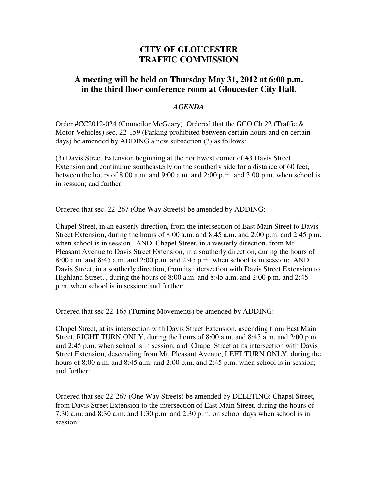## **CITY OF GLOUCESTER TRAFFIC COMMISSION**

## **A meeting will be held on Thursday May 31, 2012 at 6:00 p.m. in the third floor conference room at Gloucester City Hall.**

## *AGENDA*

Order #CC2012-024 (Councilor McGeary) Ordered that the GCO Ch 22 (Traffic & Motor Vehicles) sec. 22-159 (Parking prohibited between certain hours and on certain days) be amended by ADDING a new subsection (3) as follows:

(3) Davis Street Extension beginning at the northwest corner of #3 Davis Street Extension and continuing southeasterly on the southerly side for a distance of 60 feet, between the hours of 8:00 a.m. and 9:00 a.m. and 2:00 p.m. and 3:00 p.m. when school is in session; and further

Ordered that sec. 22-267 (One Way Streets) be amended by ADDING:

Chapel Street, in an easterly direction, from the intersection of East Main Street to Davis Street Extension, during the hours of 8:00 a.m. and 8:45 a.m. and 2:00 p.m. and 2:45 p.m. when school is in session. AND Chapel Street, in a westerly direction, from Mt. Pleasant Avenue to Davis Street Extension, in a southerly direction, during the hours of 8:00 a.m. and 8:45 a.m. and 2:00 p.m. and 2:45 p.m. when school is in session; AND Davis Street, in a southerly direction, from its intersection with Davis Street Extension to Highland Street, , during the hours of 8:00 a.m. and 8:45 a.m. and 2:00 p.m. and 2:45 p.m. when school is in session; and further:

Ordered that sec 22-165 (Turning Movements) be amended by ADDING:

Chapel Street, at its intersection with Davis Street Extension, ascending from East Main Street, RIGHT TURN ONLY, during the hours of 8:00 a.m. and 8:45 a.m. and 2:00 p.m. and 2:45 p.m. when school is in session, and Chapel Street at its intersection with Davis Street Extension, descending from Mt. Pleasant Avenue, LEFT TURN ONLY, during the hours of 8:00 a.m. and 8:45 a.m. and 2:00 p.m. and 2:45 p.m. when school is in session; and further:

Ordered that sec 22-267 (One Way Streets) be amended by DELETING: Chapel Street, from Davis Street Extension to the intersection of East Main Street, during the hours of 7:30 a.m. and 8:30 a.m. and 1:30 p.m. and 2:30 p.m. on school days when school is in session.